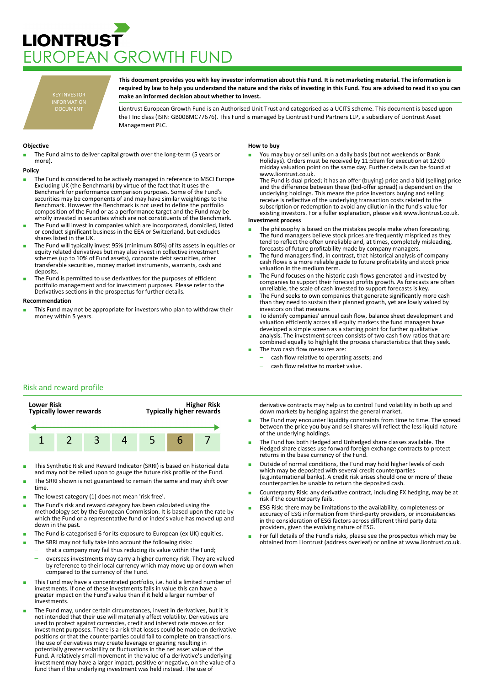# **LIONTRUST** JROPEAN GROWTH FUND

KEY INVESTOR INFORMATION DOCUMENT

**This document provides you with key investor information about this Fund. It is not marketing material. The information is required by law to help you understand the nature and the risks of investing in this Fund. You are advised to read it so you can make an informed decision about whether to invest.**

Liontrust European Growth Fund is an Authorised Unit Trust and categorised as a UCITS scheme. This document is based upon the I Inc class (ISIN: GB00BMC77676). This Fund is managed by Liontrust Fund Partners LLP, a subsidiary of Liontrust Asset Management PLC.

## **Objective**

The Fund aims to deliver capital growth over the long-term (5 years or more).

#### **Policy**

- The Fund is considered to be actively managed in reference to MSCI Europe Excluding UK (the Benchmark) by virtue of the fact that it uses the Benchmark for performance comparison purposes. Some of the Fund's securities may be components of and may have similar weightings to the Benchmark. However the Benchmark is not used to define the portfolio composition of the Fund or as a performance target and the Fund may be wholly invested in securities which are not constituents of the Benchmark.
- The Fund will invest in companies which are incorporated, domiciled, listed or conduct significant business in the EEA or Switzerland, but excludes shares listed in the UK.
- The Fund will typically invest 95% (minimum 80%) of its assets in equities or equity related derivatives but may also invest in collective investment schemes (up to 10% of Fund assets), corporate debt securities, other transferable securities, money market instruments, warrants, cash and deposits.
- The Fund is permitted to use derivatives for the purposes of efficient portfolio management and for investment purposes. Please refer to the Derivatives sections in the prospectus for further details.

#### **Recommendation**

This Fund may not be appropriate for investors who plan to withdraw their money within 5 years.

### **How to buy**

You may buy or sell units on a daily basis (but not weekends or Bank Holidays). Orders must be received by 11:59am for execution at 12:00 midday valuation point on the same day. Further details can be found at www.liontrust.co.uk.

The Fund is dual priced; it has an offer (buying) price and a bid (selling) price and the difference between these (bid-offer spread) is dependent on the underlying holdings. This means the price investors buying and selling receive is reflective of the underlying transaction costs related to the subscription or redemption to avoid any dilution in the fund's value for existing investors. For a fuller explanation, please visit www.liontrust.co.uk.

#### **Investment process**

- The philosophy is based on the mistakes people make when forecasting. The fund managers believe stock prices are frequently mispriced as they tend to reflect the often unreliable and, at times, completely misleading, forecasts of future profitability made by company managers.
- The fund managers find, in contrast, that historical analysis of company cash flows is a more reliable guide to future profitability and stock price valuation in the medium term.
- The Fund focuses on the historic cash flows generated and invested by companies to support their forecast profits growth. As forecasts are often unreliable, the scale of cash invested to support forecasts is key.
- The Fund seeks to own companies that generate significantly more cash than they need to sustain their planned growth, yet are lowly valued by investors on that measure.
- To identify companies' annual cash flow, balance sheet development and valuation efficiently across all equity markets the fund managers have developed a simple screen as a starting point for further qualitative analysis. The investment screen consists of two cash flow ratios that are combined equally to highlight the process characteristics that they seek. The two cash flow measures are:
	- cash flow relative to operating assets; and
	- cash flow relative to market value.
	-

# Risk and reward profile



- This Synthetic Risk and Reward Indicator (SRRI) is based on historical data and may not be relied upon to gauge the future risk profile of the Fund.
- The SRRI shown is not guaranteed to remain the same and may shift over time.
- The lowest category (1) does not mean 'risk free'.
- The Fund's risk and reward category has been calculated using the methodology set by the European Commission. It is based upon the rate by which the Fund or a representative fund or index's value has moved up and down in the past.
- The Fund is categorised 6 for its exposure to European (ex UK) equities.
- The SRRI may not fully take into account the following risks:
	- that a company may fail thus reducing its value within the Fund;
		- overseas investments may carry a higher currency risk. They are valued by reference to their local currency which may move up or down when compared to the currency of the Fund.
- This Fund may have a concentrated portfolio, i.e. hold a limited number of investments. If one of these investments falls in value this can have a greater impact on the Fund's value than if it held a larger number of investments.
- The Fund may, under certain circumstances, invest in derivatives, but it is not intended that their use will materially affect volatility. Derivatives are used to protect against currencies, credit and interest rate moves or for investment purposes. There is a risk that losses could be made on derivative positions or that the counterparties could fail to complete on transactions. The use of derivatives may create leverage or gearing resulting in potentially greater volatility or fluctuations in the net asset value of the Fund. A relatively small movement in the value of a derivative's underlying investment may have a larger impact, positive or negative, on the value of a fund than if the underlying investment was held instead. The use of

derivative contracts may help us to control Fund volatility in both up and down markets by hedging against the general market.

- The Fund may encounter liquidity constraints from time to time. The spread between the price you buy and sell shares will reflect the less liquid nature of the underlying holdings.
- The Fund has both Hedged and Unhedged share classes available. The Hedged share classes use forward foreign exchange contracts to protect returns in the base currency of the Fund.
- Outside of normal conditions, the Fund may hold higher levels of cash which may be deposited with several credit counterparties (e.g.international banks). A credit risk arises should one or more of these counterparties be unable to return the deposited cash.
- Counterparty Risk: any derivative contract, including FX hedging, may be at risk if the counterparty fails.
- ESG Risk: there may be limitations to the availability, completeness or accuracy of ESG information from third-party providers, or inconsistencies in the consideration of ESG factors across different third party data providers, given the evolving nature of ESG.
- For full details of the Fund's risks, please see the prospectus which may be obtained from Liontrust (address overleaf) or online at www.liontrust.co.uk.